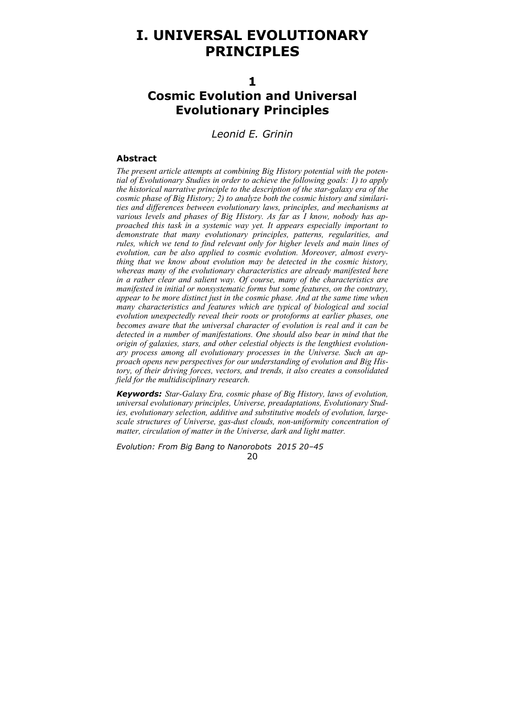# **I. UNIVERSAL EVOLUTIONARY PRINCIPLES**

**1** 

# **Cosmic Evolution and Universal Evolutionary Principles**

*Leonid E. Grinin* 

#### **Abstract**

*The present article attempts at combining Big History potential with the potential of Evolutionary Studies in order to achieve the following goals: 1) to apply the historical narrative principle to the description of the star-galaxy era of the cosmic phase of Big History; 2) to analyze both the cosmic history and similarities and differences between evolutionary laws, principles, and mechanisms at various levels and phases of Big History. As far as I know, nobody has approached this task in a systemic way yet. It appears especially important to demonstrate that many evolutionary principles, patterns, regularities, and rules, which we tend to find relevant only for higher levels and main lines of evolution, can be also applied to cosmic evolution. Moreover, almost everything that we know about evolution may be detected in the cosmic history, whereas many of the evolutionary characteristics are already manifested here in a rather clear and salient way. Of course, many of the characteristics are manifested in initial or nonsystematic forms but some features, on the contrary, appear to be more distinct just in the cosmic phase. And at the same time when many characteristics and features which are typical of biological and social evolution unexpectedly reveal their roots or protoforms at earlier phases, one becomes aware that the universal character of evolution is real and it can be detected in a number of manifestations. One should also bear in mind that the origin of galaxies, stars, and other celestial objects is the lengthiest evolutionary process among all evolutionary processes in the Universe. Such an approach opens new perspectives for our understanding of evolution and Big History, of their driving forces, vectors, and trends, it also creates a consolidated field for the multidisciplinary research.* 

*Keywords: Star-Galaxy Era, cosmic phase of Big History, laws of evolution, universal evolutionary principles, Universe, preadaptations, Evolutionary Studies, evolutionary selection, additive and substitutive models of evolution, largescale structures of Universe, gas-dust clouds, non-uniformity concentration of matter, circulation of matter in the Universe, dark and light matter.*

*Evolution: From Big Bang to Nanorobots 2015 20–45* 

20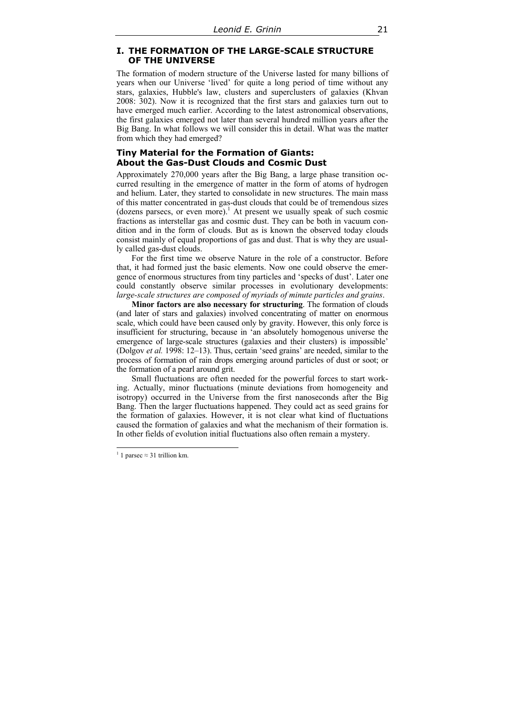# **I. THE FORMATION OF THE LARGE-SCALE STRUCTURE OF THE UNIVERSE**

The formation of modern structure of the Universe lasted for many billions of years when our Universe 'lived' for quite a long period of time without any stars, galaxies, Hubble's law, clusters and superclusters of galaxies (Khvan 2008: 302). Now it is recognized that the first stars and galaxies turn out to have emerged much earlier. According to the latest astronomical observations, the first galaxies emerged not later than several hundred million years after the Big Bang. In what follows we will consider this in detail. What was the matter from which they had emerged?

# **Tiny Material for the Formation of Giants: About the Gas-Dust Clouds and Cosmic Dust**

Approximately 270,000 years after the Big Bang, a large phase transition occurred resulting in the emergence of matter in the form of atoms of hydrogen and helium. Later, they started to consolidate in new structures. The main mass of this matter concentrated in gas-dust clouds that could be of tremendous sizes (dozens parsecs, or even more).<sup>1</sup> At present we usually speak of such cosmic fractions as interstellar gas and cosmic dust. They can be both in vacuum condition and in the form of clouds. But as is known the observed today clouds consist mainly of equal proportions of gas and dust. That is why they are usually called gas-dust clouds.

For the first time we observe Nature in the role of a constructor. Before that, it had formed just the basic elements. Now one could observe the emergence of enormous structures from tiny particles and 'specks of dust'. Later one could constantly observe similar processes in evolutionary developments: *large-scale structures are composed of myriads of minute particles and grains*.

**Minor factors are also necessary for structuring**. The formation of clouds (and later of stars and galaxies) involved concentrating of matter on enormous scale, which could have been caused only by gravity. However, this only force is insufficient for structuring, because in 'an absolutely homogenous universe the emergence of large-scale structures (galaxies and their clusters) is impossible' (Dolgov *et al.* 1998: 12–13). Thus, certain 'seed grains' are needed, similar to the process of formation of rain drops emerging around particles of dust or soot; or the formation of a pearl around grit.

Small fluctuations are often needed for the powerful forces to start working. Actually, minor fluctuations (minute deviations from homogeneity and isotropy) occurred in the Universe from the first nanoseconds after the Big Bang. Then the larger fluctuations happened. They could act as seed grains for the formation of galaxies. However, it is not clear what kind of fluctuations caused the formation of galaxies and what the mechanism of their formation is. In other fields of evolution initial fluctuations also often remain a mystery.

 $\overline{a}$ 

<sup>&</sup>lt;sup>1</sup> 1 parsec  $\approx$  31 trillion km.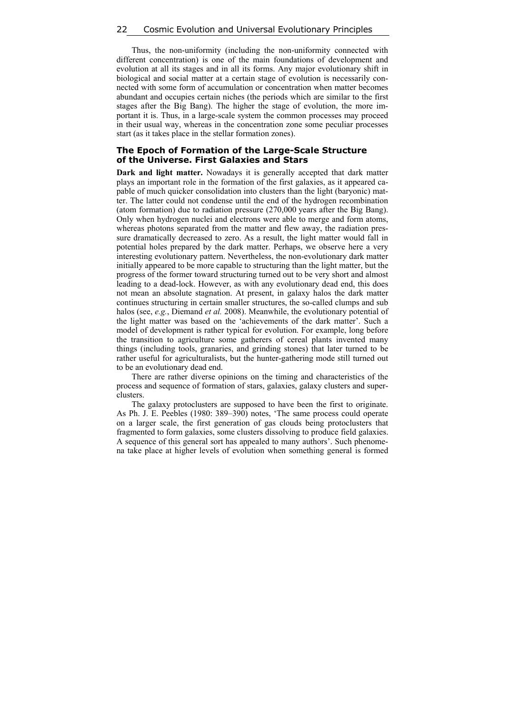Thus, the non-uniformity (including the non-uniformity connected with different concentration) is one of the main foundations of development and evolution at all its stages and in all its forms. Any major evolutionary shift in biological and social matter at a certain stage of evolution is necessarily connected with some form of accumulation or concentration when matter becomes abundant and occupies certain niches (the periods which are similar to the first stages after the Big Bang). The higher the stage of evolution, the more important it is. Thus, in a large-scale system the common processes may proceed in their usual way, whereas in the concentration zone some peculiar processes start (as it takes place in the stellar formation zones).

## **The Epoch of Formation of the Large-Scale Structure of the Universe. First Galaxies and Stars**

**Dark and light matter.** Nowadays it is generally accepted that dark matter plays an important role in the formation of the first galaxies, as it appeared capable of much quicker consolidation into clusters than the light (baryonic) matter. The latter could not condense until the end of the hydrogen recombination (atom formation) due to radiation pressure (270,000 years after the Big Bang). Only when hydrogen nuclei and electrons were able to merge and form atoms, whereas photons separated from the matter and flew away, the radiation pressure dramatically decreased to zero. As a result, the light matter would fall in potential holes prepared by the dark matter. Perhaps, we observe here a very interesting evolutionary pattern. Nevertheless, the non-evolutionary dark matter initially appeared to be more capable to structuring than the light matter, but the progress of the former toward structuring turned out to be very short and almost leading to a dead-lock. However, as with any evolutionary dead end, this does not mean an absolute stagnation. At present, in galaxy halos the dark matter continues structuring in certain smaller structures, the so-called clumps and sub halos (see, *e.g.*, Diemand *et al.* 2008). Meanwhile, the evolutionary potential of the light matter was based on the 'achievements of the dark matter'. Such a model of development is rather typical for evolution. For example, long before the transition to agriculture some gatherers of cereal plants invented many things (including tools, granaries, and grinding stones) that later turned to be rather useful for agriculturalists, but the hunter-gathering mode still turned out to be an evolutionary dead end.

There are rather diverse opinions on the timing and characteristics of the process and sequence of formation of stars, galaxies, galaxy clusters and superclusters.

The galaxy protoclusters are supposed to have been the first to originate. As Ph. J. E. Peebles (1980: 389–390) notes, 'The same process could operate on a larger scale, the first generation of gas clouds being protoclusters that fragmented to form galaxies, some clusters dissolving to produce field galaxies. A sequence of this general sort has appealed to many authors'. Such phenomena take place at higher levels of evolution when something general is formed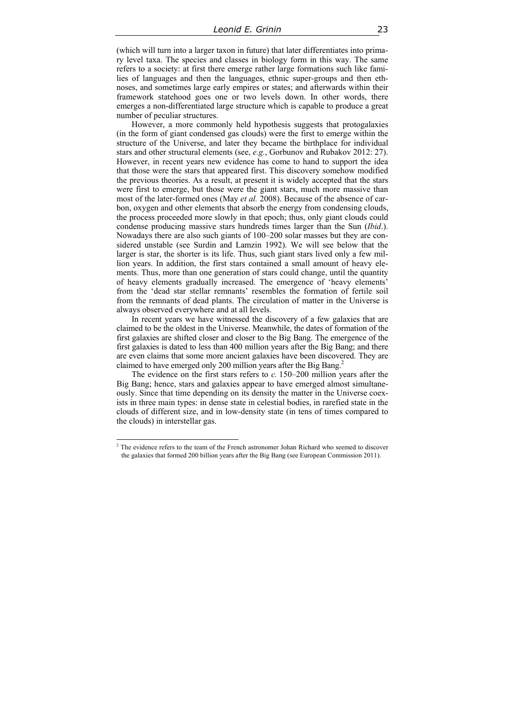(which will turn into a larger taxon in future) that later differentiates into primary level taxa. The species and classes in biology form in this way. The same refers to a society: at first there emerge rather large formations such like families of languages and then the languages, ethnic super-groups and then ethnoses, and sometimes large early empires or states; and afterwards within their framework statehood goes one or two levels down. In other words, there emerges a non-differentiated large structure which is capable to produce a great number of peculiar structures.

However, a more commonly held hypothesis suggests that protogalaxies (in the form of giant condensed gas clouds) were the first to emerge within the structure of the Universe, and later they became the birthplace for individual stars and other structural elements (see, *e.g.*, Gorbunov and Rubakov 2012: 27). However, in recent years new evidence has come to hand to support the idea that those were the stars that appeared first. This discovery somehow modified the previous theories. As a result, at present it is widely accepted that the stars were first to emerge, but those were the giant stars, much more massive than most of the later-formed ones (May *et al.* 2008). Because of the absence of carbon, oxygen and other elements that absorb the energy from condensing clouds, the process proceeded more slowly in that epoch; thus, only giant clouds could condense producing massive stars hundreds times larger than the Sun (*Ibid*.). Nowadays there are also such giants of 100–200 solar masses but they are considered unstable (see Surdin and Lamzin 1992). We will see below that the larger is star, the shorter is its life. Thus, such giant stars lived only a few million years. In addition, the first stars contained a small amount of heavy elements. Thus, more than one generation of stars could change, until the quantity of heavy elements gradually increased. The emergence of 'heavy elements' from the 'dead star stellar remnants' resembles the formation of fertile soil from the remnants of dead plants. The circulation of matter in the Universe is always observed everywhere and at all levels.

In recent years we have witnessed the discovery of a few galaxies that are claimed to be the oldest in the Universe. Meanwhile, the dates of formation of the first galaxies are shifted closer and closer to the Big Bang. The emergence of the first galaxies is dated to less than 400 million years after the Big Bang; and there are even claims that some more ancient galaxies have been discovered. They are claimed to have emerged only 200 million years after the Big Bang.<sup>2</sup>

The evidence on the first stars refers to *c.* 150–200 million years after the Big Bang; hence, stars and galaxies appear to have emerged almost simultaneously. Since that time depending on its density the matter in the Universe coexists in three main types: in dense state in celestial bodies, in rarefied state in the clouds of different size, and in low-density state (in tens of times compared to the clouds) in interstellar gas.

<sup>&</sup>lt;sup>2</sup> The evidence refers to the team of the French astronomer Johan Richard who seemed to discover the galaxies that formed 200 billion years after the Big Bang (see European Commission 2011).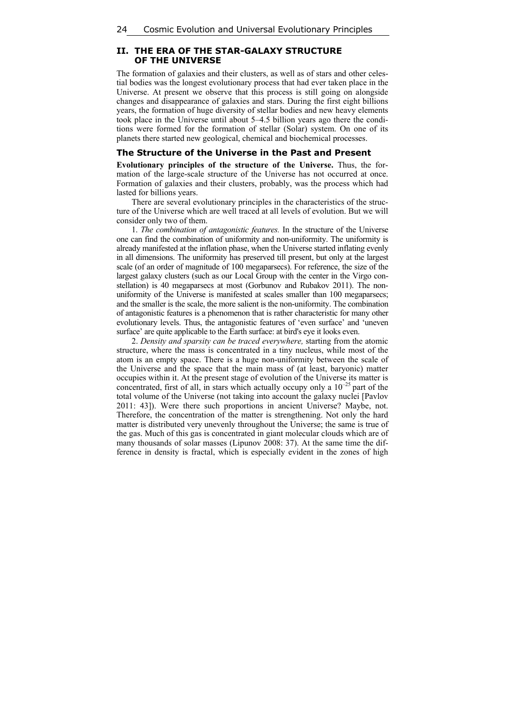# **II. THE ERA OF THE STAR-GALAXY STRUCTURE OF THE UNIVERSE**

The formation of galaxies and their clusters, as well as of stars and other celestial bodies was the longest evolutionary process that had ever taken place in the Universe. At present we observe that this process is still going on alongside changes and disappearance of galaxies and stars. During the first eight billions years, the formation of huge diversity of stellar bodies and new heavy elements took place in the Universe until about 5–4.5 billion years ago there the conditions were formed for the formation of stellar (Solar) system. On one of its planets there started new geological, chemical and biochemical processes.

### **The Structure of the Universe in the Past and Present**

**Evolutionary principles of the structure of the Universe.** Thus, the formation of the large-scale structure of the Universe has not occurred at once. Formation of galaxies and their clusters, probably, was the process which had lasted for billions years.

There are several evolutionary principles in the characteristics of the structure of the Universe which are well traced at all levels of evolution. But we will consider only two of them.

1. *The combination of antagonistic features.* In the structure of the Universe one can find the combination of uniformity and non-uniformity. The uniformity is already manifested at the inflation phase, when the Universe started inflating evenly in all dimensions. The uniformity has preserved till present, but only at the largest scale (of an order of magnitude of 100 megaparsecs). For reference, the size of the largest galaxy clusters (such as our Local Group with the center in the Virgo constellation) is 40 megaparsecs at most (Gorbunov and Rubakov 2011). The nonuniformity of the Universe is manifested at scales smaller than 100 megaparsecs; and the smaller is the scale, the more salient is the non-uniformity. The combination of antagonistic features is a phenomenon that is rather characteristic for many other evolutionary levels. Thus, the antagonistic features of 'even surface' and 'uneven surface' are quite applicable to the Earth surface: at bird's eye it looks even.

2. *Density and sparsity can be traced everywhere,* starting from the atomic structure, where the mass is concentrated in a tiny nucleus, while most of the atom is an empty space. There is a huge non-uniformity between the scale of the Universe and the space that the main mass of (at least, baryonic) matter occupies within it. At the present stage of evolution of the Universe its matter is concentrated, first of all, in stars which actually occupy only a  $10^{-25}$  part of the total volume of the Universe (not taking into account the galaxy nuclei [Pavlov 2011: 43]). Were there such proportions in ancient Universe? Maybe, not. Therefore, the concentration of the matter is strengthening. Not only the hard matter is distributed very unevenly throughout the Universe; the same is true of the gas. Much of this gas is concentrated in giant molecular clouds which are of many thousands of solar masses (Lipunov 2008: 37). At the same time the difference in density is fractal, which is especially evident in the zones of high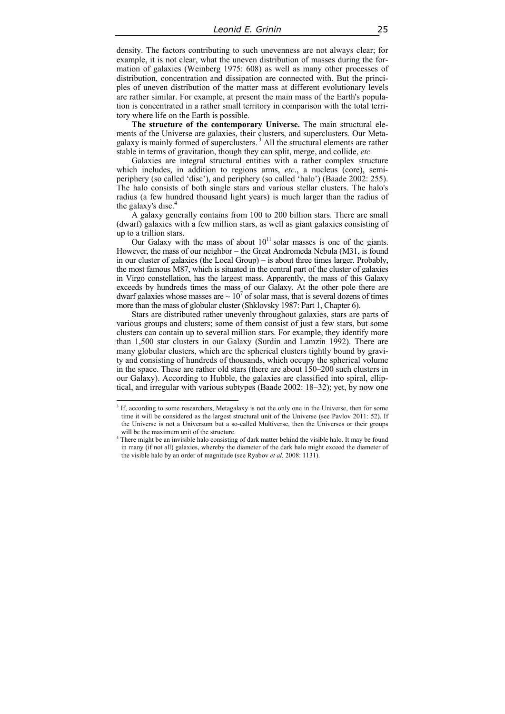density. The factors contributing to such unevenness are not always clear; for example, it is not clear, what the uneven distribution of masses during the formation of galaxies (Weinberg 1975: 608) as well as many other processes of distribution, concentration and dissipation are connected with. But the principles of uneven distribution of the matter mass at different evolutionary levels are rather similar. For example, at present the main mass of the Earth's population is concentrated in a rather small territory in comparison with the total territory where life on the Earth is possible.

**The structure of the contemporary Universe.** The main structural elements of the Universe are galaxies, their clusters, and superclusters. Our Metagalaxy is mainly formed of superclusters.<sup>3</sup> All the structural elements are rather stable in terms of gravitation, though they can split, merge, and collide, *etc.* 

Galaxies are integral structural entities with a rather complex structure which includes, in addition to regions arms, *etc.*, a nucleus (core), semiperiphery (so called 'disc'), and periphery (so called 'halo') (Baade 2002: 255). The halo consists of both single stars and various stellar clusters. The halo's radius (a few hundred thousand light years) is much larger than the radius of the galaxy's disc. $4$ 

A galaxy generally contains from 100 to 200 billion stars. There are small (dwarf) galaxies with a few million stars, as well as giant galaxies consisting of up to a trillion stars.

Our Galaxy with the mass of about  $10^{11}$  solar masses is one of the giants. However, the mass of our neighbor – the Great Andromeda Nebula (M31, is found in our cluster of galaxies (the Local Group) – is about three times larger. Probably, the most famous M87, which is situated in the central part of the cluster of galaxies in Virgo constellation, has the largest mass. Apparently, the mass of this Galaxy exceeds by hundreds times the mass of our Galaxy. At the other pole there are dwarf galaxies whose masses are  $\sim 10^7$  of solar mass, that is several dozens of times more than the mass of globular cluster (Shklovsky 1987: Part 1, Chapter 6).

Stars are distributed rather unevenly throughout galaxies, stars are parts of various groups and clusters; some of them consist of just a few stars, but some clusters can contain up to several million stars. For example, they identify more than 1,500 star clusters in our Galaxy (Surdin and Lamzin 1992). There are many globular clusters, which are the spherical clusters tightly bound by gravity and consisting of hundreds of thousands, which occupy the spherical volume in the space. These are rather old stars (there are about 150–200 such clusters in our Galaxy). According to Hubble, the galaxies are classified into spiral, elliptical, and irregular with various subtypes (Baade 2002: 18–32); yet, by now one

<sup>&</sup>lt;sup>3</sup> If, according to some researchers, Metagalaxy is not the only one in the Universe, then for some time it will be considered as the largest structural unit of the Universe (see Pavlov 2011: 52). If the Universe is not a Universum but a so-called Multiverse, then the Universes or their groups will be the maximum unit of the structure.

<sup>&</sup>lt;sup>4</sup> There might be an invisible halo consisting of dark matter behind the visible halo. It may be found in many (if not all) galaxies, whereby the diameter of the dark halo might exceed the diameter of the visible halo by an order of magnitude (see Ryabov *et al.* 2008: 1131).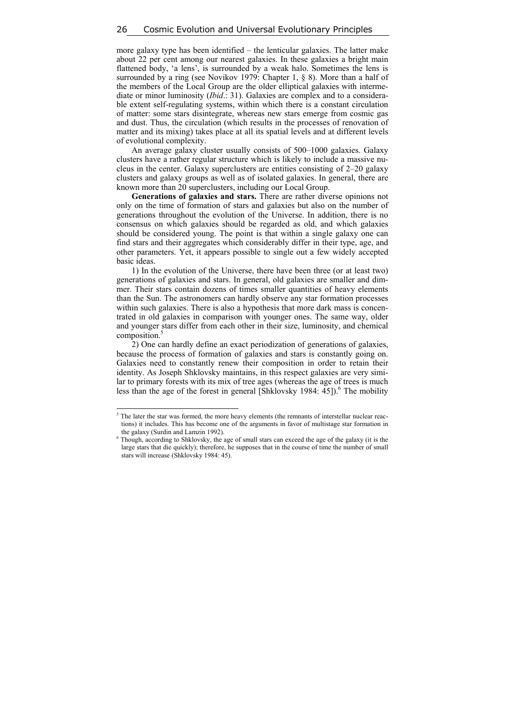more galaxy type has been identified – the lenticular galaxies. The latter make about 22 per cent among our nearest galaxies. In these galaxies a bright main flattened body, 'a lens', is surrounded by a weak halo. Sometimes the lens is surrounded by a ring (see Novikov 1979: Chapter 1, § 8). More than a half of the members of the Local Group are the older elliptical galaxies with intermediate or minor luminosity (*Ibid*.: 31). Galaxies are complex and to a considerable extent self-regulating systems, within which there is a constant circulation of matter: some stars disintegrate, whereas new stars emerge from cosmic gas and dust. Thus, the circulation (which results in the processes of renovation of matter and its mixing) takes place at all its spatial levels and at different levels of evolutional complexity.

An average galaxy cluster usually consists of 500–1000 galaxies. Galaxy clusters have a rather regular structure which is likely to include a massive nucleus in the center. Galaxy superclusters are entities consisting of 2–20 galaxy clusters and galaxy groups as well as of isolated galaxies. In general, there are known more than 20 superclusters, including our Local Group.

**Generations of galaxies and stars.** There are rather diverse opinions not only on the time of formation of stars and galaxies but also on the number of generations throughout the evolution of the Universe. In addition, there is no consensus on which galaxies should be regarded as old, and which galaxies should be considered young. The point is that within a single galaxy one can find stars and their aggregates which considerably differ in their type, age, and other parameters. Yet, it appears possible to single out a few widely accepted basic ideas.

1) In the evolution of the Universe, there have been three (or at least two) generations of galaxies and stars. In general, old galaxies are smaller and dimmer. Their stars contain dozens of times smaller quantities of heavy elements than the Sun. The astronomers can hardly observe any star formation processes within such galaxies. There is also a hypothesis that more dark mass is concentrated in old galaxies in comparison with younger ones. The same way, older and younger stars differ from each other in their size, luminosity, and chemical composition.<sup>5</sup>

2) One can hardly define an exact periodization of generations of galaxies, because the process of formation of galaxies and stars is constantly going on. Galaxies need to constantly renew their composition in order to retain their identity. As Joseph Shklovsky maintains, in this respect galaxies are very similar to primary forests with its mix of tree ages (whereas the age of trees is much less than the age of the forest in general [Shklovsky 1984:  $\overline{45}$ ]).<sup>6</sup> The mobility

 $\overline{\phantom{a}}$ 

 $<sup>5</sup>$  The later the star was formed, the more heavy elements (the remnants of interstellar nuclear reac-</sup> tions) it includes. This has become one of the arguments in favor of multistage star formation in the galaxy (Surdin and Lamzin 1992).

<sup>&</sup>lt;sup>6</sup> Though, according to Shklovsky, the age of small stars can exceed the age of the galaxy (it is the large stars that die quickly); therefore, he supposes that in the course of time the number of small stars will increase (Shklovsky 1984: 45).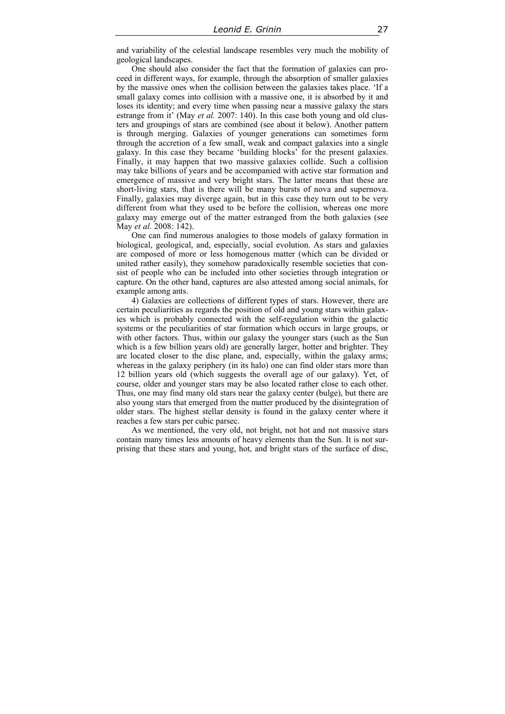and variability of the celestial landscape resembles very much the mobility of geological landscapes.

One should also consider the fact that the formation of galaxies can proceed in different ways, for example, through the absorption of smaller galaxies by the massive ones when the collision between the galaxies takes place. 'If a small galaxy comes into collision with a massive one, it is absorbed by it and loses its identity; and every time when passing near a massive galaxy the stars estrange from it' (May *et al.* 2007: 140). In this case both young and old clusters and groupings of stars are combined (see about it below). Another pattern is through merging. Galaxies of younger generations can sometimes form through the accretion of a few small, weak and compact galaxies into a single galaxy. In this case they became 'building blocks' for the present galaxies. Finally, it may happen that two massive galaxies collide. Such a collision may take billions of years and be accompanied with active star formation and emergence of massive and very bright stars. The latter means that these are short-living stars, that is there will be many bursts of nova and supernova. Finally, galaxies may diverge again, but in this case they turn out to be very different from what they used to be before the collision, whereas one more galaxy may emerge out of the matter estranged from the both galaxies (see May *et al.* 2008: 142).

One can find numerous analogies to those models of galaxy formation in biological, geological, and, especially, social evolution. As stars and galaxies are composed of more or less homogenous matter (which can be divided or united rather easily), they somehow paradoxically resemble societies that consist of people who can be included into other societies through integration or capture. On the other hand, captures are also attested among social animals, for example among ants.

4) Galaxies are collections of different types of stars. However, there are certain peculiarities as regards the position of old and young stars within galaxies which is probably connected with the self-regulation within the galactic systems or the peculiarities of star formation which occurs in large groups, or with other factors. Thus, within our galaxy the younger stars (such as the Sun which is a few billion years old) are generally larger, hotter and brighter. They are located closer to the disc plane, and, especially, within the galaxy arms; whereas in the galaxy periphery (in its halo) one can find older stars more than 12 billion years old (which suggests the overall age of our galaxy). Yet, of course, older and younger stars may be also located rather close to each other. Thus, one may find many old stars near the galaxy center (bulge), but there are also young stars that emerged from the matter produced by the disintegration of older stars. The highest stellar density is found in the galaxy center where it reaches a few stars per cubic parsec.

As we mentioned, the very old, not bright, not hot and not massive stars contain many times less amounts of heavy elements than the Sun. It is not surprising that these stars and young, hot, and bright stars of the surface of disc,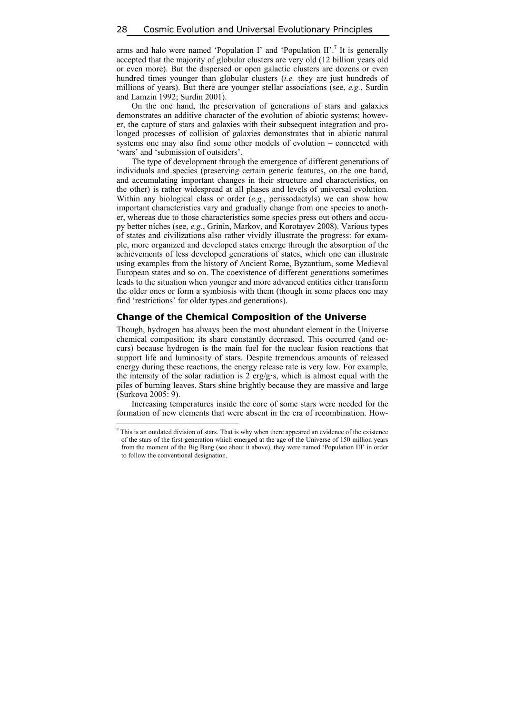arms and halo were named 'Population I' and 'Population II'.<sup>7</sup> It is generally accepted that the majority of globular clusters are very old (12 billion years old or even more). But the dispersed or open galactic clusters are dozens or even hundred times younger than globular clusters (*i.e.* they are just hundreds of millions of years). But there are younger stellar associations (see, *e.g.*, Surdin and Lamzin 1992; Surdin 2001).

On the one hand, the preservation of generations of stars and galaxies demonstrates an additive character of the evolution of abiotic systems; however, the capture of stars and galaxies with their subsequent integration and prolonged processes of collision of galaxies demonstrates that in abiotic natural systems one may also find some other models of evolution – connected with 'wars' and 'submission of outsiders'.

The type of development through the emergence of different generations of individuals and species (preserving certain generic features, on the one hand, and accumulating important changes in their structure and characteristics, on the other) is rather widespread at all phases and levels of universal evolution. Within any biological class or order (*e.g.*, perissodactyls) we can show how important characteristics vary and gradually change from one species to another, whereas due to those characteristics some species press out others and occupy better niches (see, *e.g.*, Grinin, Markov, and Korotayev 2008). Various types of states and civilizations also rather vividly illustrate the progress: for example, more organized and developed states emerge through the absorption of the achievements of less developed generations of states, which one can illustrate using examples from the history of Ancient Rome, Byzantium, some Medieval European states and so on. The coexistence of different generations sometimes leads to the situation when younger and more advanced entities either transform the older ones or form a symbiosis with them (though in some places one may find 'restrictions' for older types and generations).

#### **Change of the Chemical Composition of the Universe**

Though, hydrogen has always been the most abundant element in the Universe chemical composition; its share constantly decreased. This occurred (and occurs) because hydrogen is the main fuel for the nuclear fusion reactions that support life and luminosity of stars. Despite tremendous amounts of released energy during these reactions, the energy release rate is very low. For example, the intensity of the solar radiation is 2 erg/g·s, which is almost equal with the piles of burning leaves. Stars shine brightly because they are massive and large (Surkova 2005: 9).

Increasing temperatures inside the core of some stars were needed for the formation of new elements that were absent in the era of recombination. How-

 $\overline{\phantom{a}}$ 

 $<sup>7</sup>$  This is an outdated division of stars. That is why when there appeared an evidence of the existence</sup> of the stars of the first generation which emerged at the age of the Universe of 150 million years from the moment of the Big Bang (see about it above), they were named 'Population III' in order to follow the conventional designation.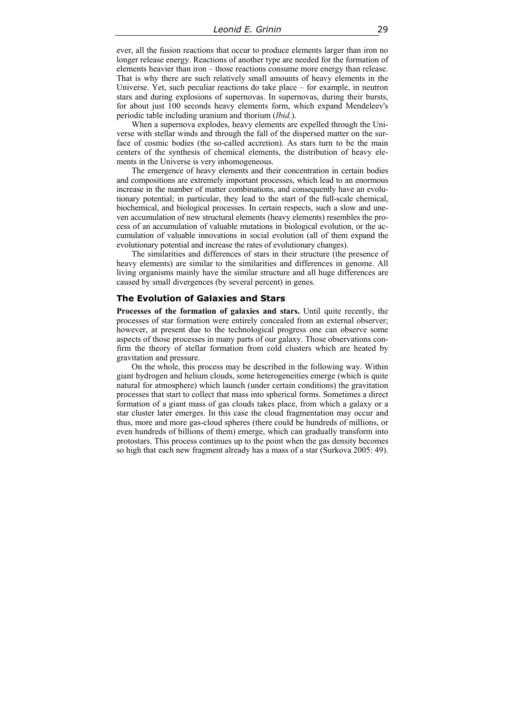ever, all the fusion reactions that occur to produce elements larger than iron no longer release energy. Reactions of another type are needed for the formation of elements heavier than iron – those reactions consume more energy than release. That is why there are such relatively small amounts of heavy elements in the Universe. Yet, such peculiar reactions do take place – for example, in neutron stars and during explosions of supernovas. In supernovas, during their bursts, for about just 100 seconds heavy elements form, which expand Mendeleev's periodic table including uranium and thorium (*Ibid.*).

When a supernova explodes, heavy elements are expelled through the Universe with stellar winds and through the fall of the dispersed matter on the surface of cosmic bodies (the so-called accretion). As stars turn to be the main centers of the synthesis of chemical elements, the distribution of heavy elements in the Universe is very inhomogeneous.

The emergence of heavy elements and their concentration in certain bodies and compositions are extremely important processes, which lead to an enormous increase in the number of matter combinations, and consequently have an evolutionary potential; in particular, they lead to the start of the full-scale chemical, biochemical, and biological processes. In certain respects, such a slow and uneven accumulation of new structural elements (heavy elements) resembles the process of an accumulation of valuable mutations in biological evolution, or the accumulation of valuable innovations in social evolution (all of them expand the evolutionary potential and increase the rates of evolutionary changes).

The similarities and differences of stars in their structure (the presence of heavy elements) are similar to the similarities and differences in genome. All living organisms mainly have the similar structure and all huge differences are caused by small divergences (by several percent) in genes.

#### **The Evolution of Galaxies and Stars**

**Processes of the formation of galaxies and stars.** Until quite recently, the processes of star formation were entirely concealed from an external observer; however, at present due to the technological progress one can observe some aspects of those processes in many parts of our galaxy. Those observations confirm the theory of stellar formation from cold clusters which are heated by gravitation and pressure.

On the whole, this process may be described in the following way. Within giant hydrogen and helium clouds, some heterogeneities emerge (which is quite natural for atmosphere) which launch (under certain conditions) the gravitation processes that start to collect that mass into spherical forms. Sometimes a direct formation of a giant mass of gas clouds takes place, from which a galaxy or a star cluster later emerges. In this case the cloud fragmentation may occur and thus, more and more gas-cloud spheres (there could be hundreds of millions, or even hundreds of billions of them) emerge, which can gradually transform into protostars. This process continues up to the point when the gas density becomes so high that each new fragment already has a mass of a star (Surkova 2005: 49).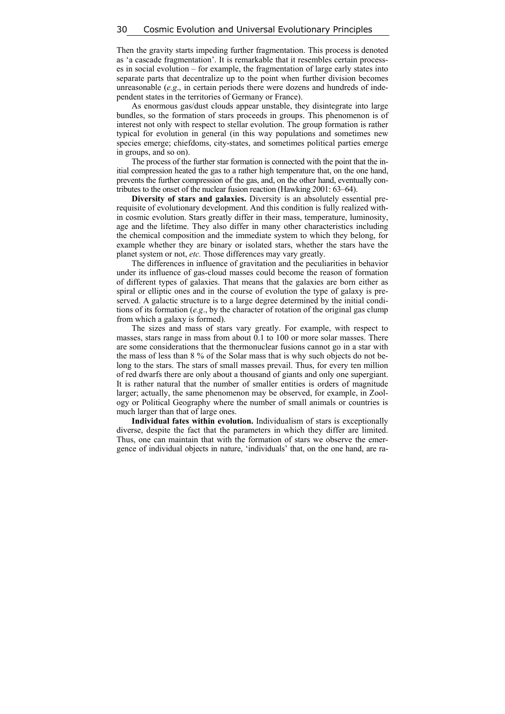Then the gravity starts impeding further fragmentation. This process is denoted as 'a cascade fragmentation'. It is remarkable that it resembles certain processes in social evolution – for example, the fragmentation of large early states into separate parts that decentralize up to the point when further division becomes unreasonable (*e.g*., in certain periods there were dozens and hundreds of independent states in the territories of Germany or France).

As enormous gas/dust clouds appear unstable, they disintegrate into large bundles, so the formation of stars proceeds in groups. This phenomenon is of interest not only with respect to stellar evolution. The group formation is rather typical for evolution in general (in this way populations and sometimes new species emerge; chiefdoms, city-states, and sometimes political parties emerge in groups, and so on).

The process of the further star formation is connected with the point that the initial compression heated the gas to a rather high temperature that, on the one hand, prevents the further compression of the gas, and, on the other hand, eventually contributes to the onset of the nuclear fusion reaction (Hawking 2001: 63–64).

**Diversity of stars and galaxies.** Diversity is an absolutely essential prerequisite of evolutionary development. And this condition is fully realized within cosmic evolution. Stars greatly differ in their mass, temperature, luminosity, age and the lifetime. They also differ in many other characteristics including the chemical composition and the immediate system to which they belong, for example whether they are binary or isolated stars, whether the stars have the planet system or not, *etc.* Those differences may vary greatly.

The differences in influence of gravitation and the peculiarities in behavior under its influence of gas-cloud masses could become the reason of formation of different types of galaxies. That means that the galaxies are born either as spiral or elliptic ones and in the course of evolution the type of galaxy is preserved. A galactic structure is to a large degree determined by the initial conditions of its formation (*e.g*., by the character of rotation of the original gas clump from which a galaxy is formed).

The sizes and mass of stars vary greatly. For example, with respect to masses, stars range in mass from about 0.1 to 100 or more solar masses. There are some considerations that the thermonuclear fusions cannot go in a star with the mass of less than 8 % of the Solar mass that is why such objects do not belong to the stars. The stars of small masses prevail. Thus, for every ten million of red dwarfs there are only about a thousand of giants and only one supergiant. It is rather natural that the number of smaller entities is orders of magnitude larger; actually, the same phenomenon may be observed, for example, in Zoology or Political Geography where the number of small animals or countries is much larger than that of large ones.

**Individual fates within evolution.** Individualism of stars is exceptionally diverse, despite the fact that the parameters in which they differ are limited. Thus, one can maintain that with the formation of stars we observe the emergence of individual objects in nature, 'individuals' that, on the one hand, are ra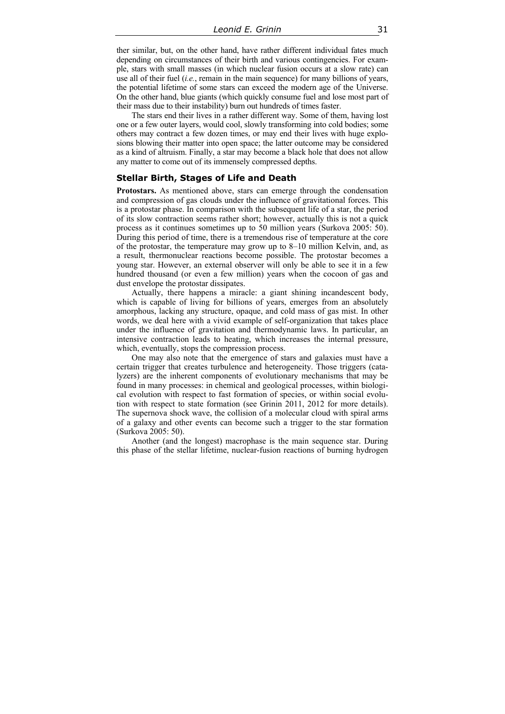ther similar, but, on the other hand, have rather different individual fates much depending on circumstances of their birth and various contingencies. For example, stars with small masses (in which nuclear fusion occurs at a slow rate) can use all of their fuel (*i.e.*, remain in the main sequence) for many billions of years, the potential lifetime of some stars can exceed the modern age of the Universe. On the other hand, blue giants (which quickly consume fuel and lose most part of their mass due to their instability) burn out hundreds of times faster.

The stars end their lives in a rather different way. Some of them, having lost one or a few outer layers, would cool, slowly transforming into cold bodies; some others may contract a few dozen times, or may end their lives with huge explosions blowing their matter into open space; the latter outcome may be considered as a kind of altruism. Finally, a star may become a black hole that does not allow any matter to come out of its immensely compressed depths.

#### **Stellar Birth, Stages of Life and Death**

**Protostars.** As mentioned above, stars can emerge through the condensation and compression of gas clouds under the influence of gravitational forces. This is a protostar phase. In comparison with the subsequent life of a star, the period of its slow contraction seems rather short; however, actually this is not a quick process as it continues sometimes up to 50 million years (Surkova 2005: 50). During this period of time, there is a tremendous rise of temperature at the core of the protostar, the temperature may grow up to 8–10 million Kelvin, and, as a result, thermonuclear reactions become possible. The protostar becomes a young star. However, an external observer will only be able to see it in a few hundred thousand (or even a few million) years when the cocoon of gas and dust envelope the protostar dissipates.

Actually, there happens a miracle: a giant shining incandescent body, which is capable of living for billions of years, emerges from an absolutely amorphous, lacking any structure, opaque, and cold mass of gas mist. In other words, we deal here with a vivid example of self-organization that takes place under the influence of gravitation and thermodynamic laws. In particular, an intensive contraction leads to heating, which increases the internal pressure, which, eventually, stops the compression process.

One may also note that the emergence of stars and galaxies must have a certain trigger that creates turbulence and heterogeneity. Those triggers (catalyzers) are the inherent components of evolutionary mechanisms that may be found in many processes: in chemical and geological processes, within biological evolution with respect to fast formation of species, or within social evolution with respect to state formation (see Grinin 2011, 2012 for more details). The supernova shock wave, the collision of a molecular cloud with spiral arms of a galaxy and other events can become such a trigger to the star formation (Surkova 2005: 50).

Another (and the longest) macrophase is the main sequence star. During this phase of the stellar lifetime, nuclear-fusion reactions of burning hydrogen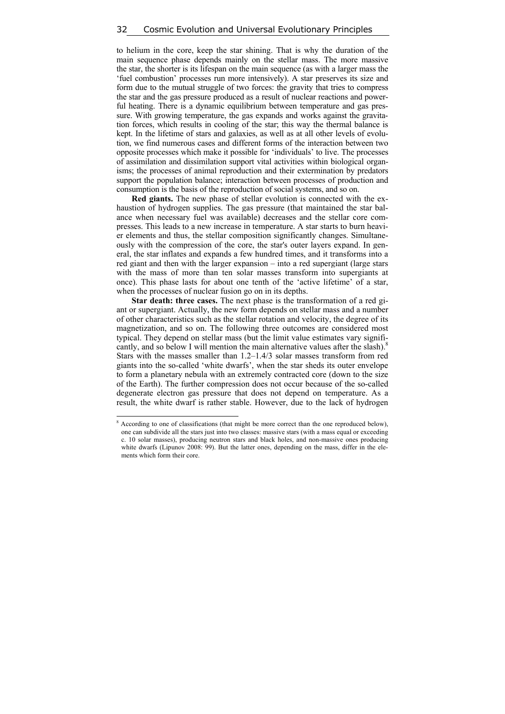to helium in the core, keep the star shining. That is why the duration of the main sequence phase depends mainly on the stellar mass. The more massive the star, the shorter is its lifespan on the main sequence (as with a larger mass the 'fuel combustion' processes run more intensively). A star preserves its size and form due to the mutual struggle of two forces: the gravity that tries to compress the star and the gas pressure produced as a result of nuclear reactions and powerful heating. There is a dynamic equilibrium between temperature and gas pressure. With growing temperature, the gas expands and works against the gravitation forces, which results in cooling of the star; this way the thermal balance is kept. In the lifetime of stars and galaxies, as well as at all other levels of evolution, we find numerous cases and different forms of the interaction between two opposite processes which make it possible for 'individuals' to live. The processes of assimilation and dissimilation support vital activities within biological organisms; the processes of animal reproduction and their extermination by predators support the population balance; interaction between processes of production and consumption is the basis of the reproduction of social systems, and so on.

**Red giants.** The new phase of stellar evolution is connected with the exhaustion of hydrogen supplies. The gas pressure (that maintained the star balance when necessary fuel was available) decreases and the stellar core compresses. This leads to a new increase in temperature. A star starts to burn heavier elements and thus, the stellar composition significantly changes. Simultaneously with the compression of the core, the star's outer layers expand. In general, the star inflates and expands a few hundred times, and it transforms into a red giant and then with the larger expansion – into a red supergiant (large stars with the mass of more than ten solar masses transform into supergiants at once). This phase lasts for about one tenth of the 'active lifetime' of a star, when the processes of nuclear fusion go on in its depths.

**Star death: three cases.** The next phase is the transformation of a red giant or supergiant. Actually, the new form depends on stellar mass and a number of other characteristics such as the stellar rotation and velocity, the degree of its magnetization, and so on. The following three outcomes are considered most typical. They depend on stellar mass (but the limit value estimates vary significantly, and so below I will mention the main alternative values after the slash).<sup>8</sup> Stars with the masses smaller than 1.2–1.4/3 solar masses transform from red giants into the so-called 'white dwarfs', when the star sheds its outer envelope to form a planetary nebula with an extremely contracted core (down to the size of the Earth). The further compression does not occur because of the so-called degenerate electron gas pressure that does not depend on temperature. As a result, the white dwarf is rather stable. However, due to the lack of hydrogen

<sup>&</sup>lt;sup>8</sup> According to one of classifications (that might be more correct than the one reproduced below), one can subdivide all the stars just into two classes: massive stars (with a mass equal or exceeding c. 10 solar masses), producing neutron stars and black holes, and non-massive ones producing white dwarfs (Lipunov 2008: 99). But the latter ones, depending on the mass, differ in the elements which form their core.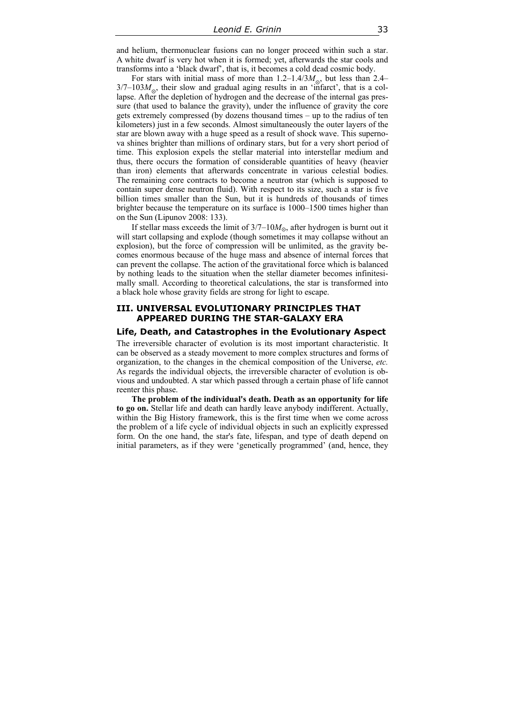and helium, thermonuclear fusions can no longer proceed within such a star. A white dwarf is very hot when it is formed; yet, afterwards the star cools and transforms into a 'black dwarf', that is, it becomes a cold dead cosmic body.

For stars with initial mass of more than  $1.2 - 1.4/3M_{\odot}$ , but less than 2.4–  $3/7-103M_{\odot}$ , their slow and gradual aging results in an 'infarct', that is a collapse. After the depletion of hydrogen and the decrease of the internal gas pressure (that used to balance the gravity), under the influence of gravity the core gets extremely compressed (by dozens thousand times – up to the radius of ten kilometers) just in a few seconds. Almost simultaneously the outer layers of the star are blown away with a huge speed as a result of shock wave. This supernova shines brighter than millions of ordinary stars, but for a very short period of time. This explosion expels the stellar material into interstellar medium and thus, there occurs the formation of considerable quantities of heavy (heavier than iron) elements that afterwards concentrate in various celestial bodies. The remaining core contracts to become a neutron star (which is supposed to contain super dense neutron fluid). With respect to its size, such a star is five billion times smaller than the Sun, but it is hundreds of thousands of times brighter because the temperature on its surface is 1000–1500 times higher than on the Sun (Lipunov 2008: 133).

If stellar mass exceeds the limit of  $3/7-10M_{\odot}$ , after hydrogen is burnt out it will start collapsing and explode (though sometimes it may collapse without an explosion), but the force of compression will be unlimited, as the gravity becomes enormous because of the huge mass and absence of internal forces that can prevent the collapse. The action of the gravitational force which is balanced by nothing leads to the situation when the stellar diameter becomes infinitesimally small. According to theoretical calculations, the star is transformed into a black hole whose gravity fields are strong for light to escape.

### **III. UNIVERSAL EVOLUTIONARY PRINCIPLES THAT APPEARED DURING THE STAR-GALAXY ERA**

# **Life, Death, and Catastrophes in the Evolutionary Aspect**

The irreversible character of evolution is its most important characteristic. It can be observed as a steady movement to more complex structures and forms of organization, to the changes in the chemical composition of the Universe, *etc.* As regards the individual objects, the irreversible character of evolution is obvious and undoubted. A star which passed through a certain phase of life cannot reenter this phase.

**The problem of the individual's death. Death as an opportunity for life to go on.** Stellar life and death can hardly leave anybody indifferent. Actually, within the Big History framework, this is the first time when we come across the problem of a life cycle of individual objects in such an explicitly expressed form. On the one hand, the star's fate, lifespan, and type of death depend on initial parameters, as if they were 'genetically programmed' (and, hence, they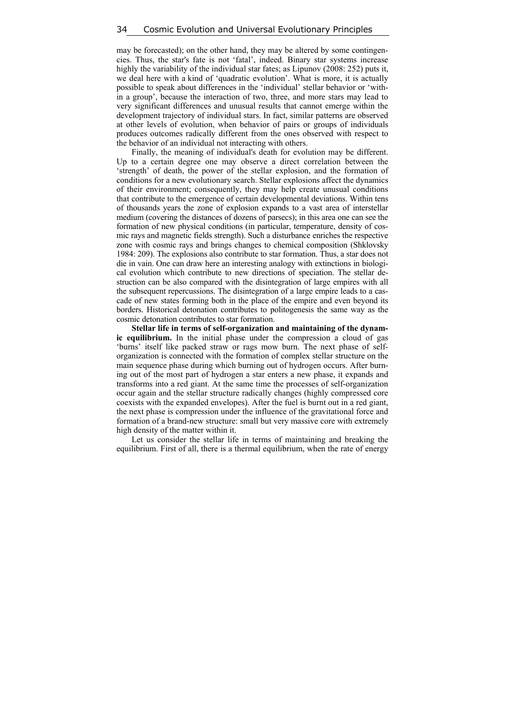may be forecasted); on the other hand, they may be altered by some contingencies. Thus, the star's fate is not 'fatal', indeed. Binary star systems increase highly the variability of the individual star fates; as Lipunov (2008: 252) puts it, we deal here with a kind of 'quadratic evolution'. What is more, it is actually possible to speak about differences in the 'individual' stellar behavior or 'within a group', because the interaction of two, three, and more stars may lead to very significant differences and unusual results that cannot emerge within the development trajectory of individual stars. In fact, similar patterns are observed at other levels of evolution, when behavior of pairs or groups of individuals produces outcomes radically different from the ones observed with respect to the behavior of an individual not interacting with others.

Finally, the meaning of individual's death for evolution may be different. Up to a certain degree one may observe a direct correlation between the 'strength' of death, the power of the stellar explosion, and the formation of conditions for a new evolutionary search. Stellar explosions affect the dynamics of their environment; consequently, they may help create unusual conditions that contribute to the emergence of certain developmental deviations. Within tens of thousands years the zone of explosion expands to a vast area of interstellar medium (covering the distances of dozens of parsecs); in this area one can see the formation of new physical conditions (in particular, temperature, density of cosmic rays and magnetic fields strength). Such a disturbance enriches the respective zone with cosmic rays and brings changes to chemical composition (Shklovsky 1984: 209). The explosions also contribute to star formation. Thus, a star does not die in vain. One can draw here an interesting analogy with extinctions in biological evolution which contribute to new directions of speciation. The stellar destruction can be also compared with the disintegration of large empires with all the subsequent repercussions. The disintegration of a large empire leads to a cascade of new states forming both in the place of the empire and even beyond its borders. Historical detonation contributes to politogenesis the same way as the cosmic detonation contributes to star formation.

**Stellar life in terms of self-organization and maintaining of the dynamic equilibrium.** In the initial phase under the compression a cloud of gas 'burns' itself like packed straw or rags mow burn. The next phase of selforganization is connected with the formation of complex stellar structure on the main sequence phase during which burning out of hydrogen occurs. After burning out of the most part of hydrogen a star enters a new phase, it expands and transforms into a red giant. At the same time the processes of self-organization occur again and the stellar structure radically changes (highly compressed core coexists with the expanded envelopes). After the fuel is burnt out in a red giant, the next phase is compression under the influence of the gravitational force and formation of a brand-new structure: small but very massive core with extremely high density of the matter within it.

Let us consider the stellar life in terms of maintaining and breaking the equilibrium. First of all, there is a thermal equilibrium, when the rate of energy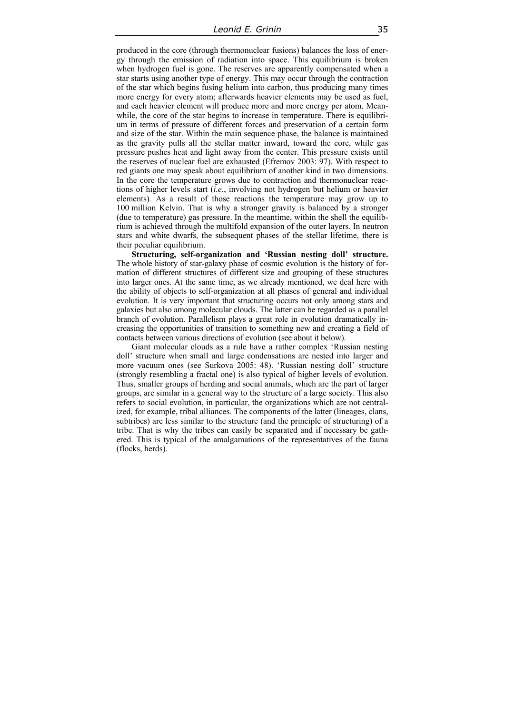produced in the core (through thermonuclear fusions) balances the loss of energy through the emission of radiation into space. This equilibrium is broken when hydrogen fuel is gone. The reserves are apparently compensated when a star starts using another type of energy. This may occur through the contraction of the star which begins fusing helium into carbon, thus producing many times more energy for every atom; afterwards heavier elements may be used as fuel, and each heavier element will produce more and more energy per atom. Meanwhile, the core of the star begins to increase in temperature. There is equilibrium in terms of pressure of different forces and preservation of a certain form and size of the star. Within the main sequence phase, the balance is maintained as the gravity pulls all the stellar matter inward, toward the core, while gas pressure pushes heat and light away from the center. This pressure exists until the reserves of nuclear fuel are exhausted (Efremov 2003: 97). With respect to red giants one may speak about equilibrium of another kind in two dimensions. In the core the temperature grows due to contraction and thermonuclear reactions of higher levels start (*i.e.*, involving not hydrogen but helium or heavier elements)*.* As a result of those reactions the temperature may grow up to 100 million Kelvin. That is why a stronger gravity is balanced by a stronger (due to temperature) gas pressure. In the meantime, within the shell the equilibrium is achieved through the multifold expansion of the outer layers. In neutron stars and white dwarfs, the subsequent phases of the stellar lifetime, there is their peculiar equilibrium.

**Structuring, self-organization and 'Russian nesting doll' structure.**  The whole history of star-galaxy phase of cosmic evolution is the history of formation of different structures of different size and grouping of these structures into larger ones. At the same time, as we already mentioned, we deal here with the ability of objects to self-organization at all phases of general and individual evolution. It is very important that structuring occurs not only among stars and galaxies but also among molecular clouds. The latter can be regarded as a parallel branch of evolution. Parallelism plays a great role in evolution dramatically increasing the opportunities of transition to something new and creating a field of contacts between various directions of evolution (see about it below).

Giant molecular clouds as a rule have a rather complex 'Russian nesting doll' structure when small and large condensations are nested into larger and more vacuum ones (see Surkova 2005: 48). 'Russian nesting doll' structure (strongly resembling a fractal one) is also typical of higher levels of evolution. Thus, smaller groups of herding and social animals, which are the part of larger groups, are similar in a general way to the structure of a large society. This also refers to social evolution, in particular, the organizations which are not centralized, for example, tribal alliances. The components of the latter (lineages, clans, subtribes) are less similar to the structure (and the principle of structuring) of a tribe. That is why the tribes can easily be separated and if necessary be gathered. This is typical of the amalgamations of the representatives of the fauna (flocks, herds).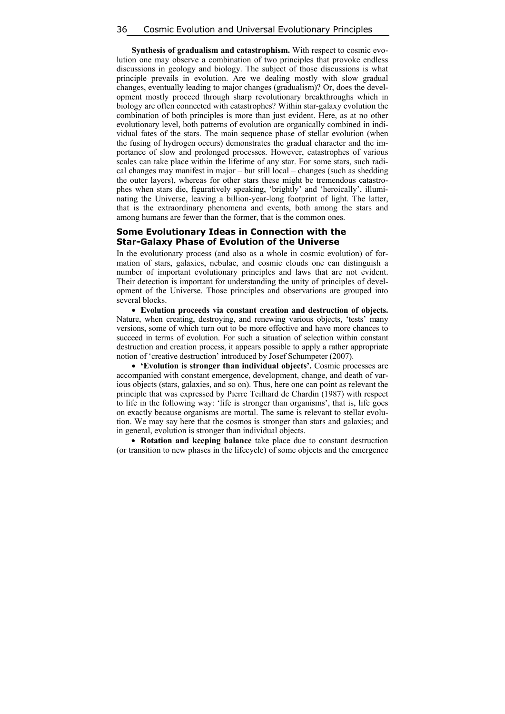**Synthesis of gradualism and catastrophism.** With respect to cosmic evolution one may observe a combination of two principles that provoke endless discussions in geology and biology. The subject of those discussions is what principle prevails in evolution. Are we dealing mostly with slow gradual changes, eventually leading to major changes (gradualism)? Or, does the development mostly proceed through sharp revolutionary breakthroughs which in biology are often connected with catastrophes? Within star-galaxy evolution the combination of both principles is more than just evident. Here, as at no other evolutionary level, both patterns of evolution are organically combined in individual fates of the stars. The main sequence phase of stellar evolution (when the fusing of hydrogen occurs) demonstrates the gradual character and the importance of slow and prolonged processes. However, catastrophes of various scales can take place within the lifetime of any star. For some stars, such radical changes may manifest in major – but still local – changes (such as shedding the outer layers), whereas for other stars these might be tremendous catastrophes when stars die, figuratively speaking, 'brightly' and 'heroically', illuminating the Universe, leaving a billion-year-long footprint of light. The latter, that is the extraordinary phenomena and events, both among the stars and among humans are fewer than the former, that is the common ones.

#### **Some Evolutionary Ideas in Connection with the Star-Galaxy Phase of Evolution of the Universe**

In the evolutionary process (and also as a whole in cosmic evolution) of formation of stars, galaxies, nebulae, and cosmic clouds one can distinguish a number of important evolutionary principles and laws that are not evident. Their detection is important for understanding the unity of principles of development of the Universe. Those principles and observations are grouped into several blocks.

 **Evolution proceeds via constant creation and destruction of objects.** Nature, when creating, destroying, and renewing various objects, 'tests' many versions, some of which turn out to be more effective and have more chances to succeed in terms of evolution. For such a situation of selection within constant destruction and creation process, it appears possible to apply a rather appropriate notion of 'creative destruction' introduced by Josef Schumpeter (2007).

 **'Evolution is stronger than individual objects'.** Cosmic processes are accompanied with constant emergence, development, change, and death of various objects (stars, galaxies, and so on). Thus, here one can point as relevant the principle that was expressed by Pierre Teilhard de Chardin (1987) with respect to life in the following way: 'life is stronger than organisms', that is, life goes on exactly because organisms are mortal. The same is relevant to stellar evolution. We may say here that the cosmos is stronger than stars and galaxies; and in general, evolution is stronger than individual objects.

 **Rotation and keeping balance** take place due to constant destruction (or transition to new phases in the lifecycle) of some objects and the emergence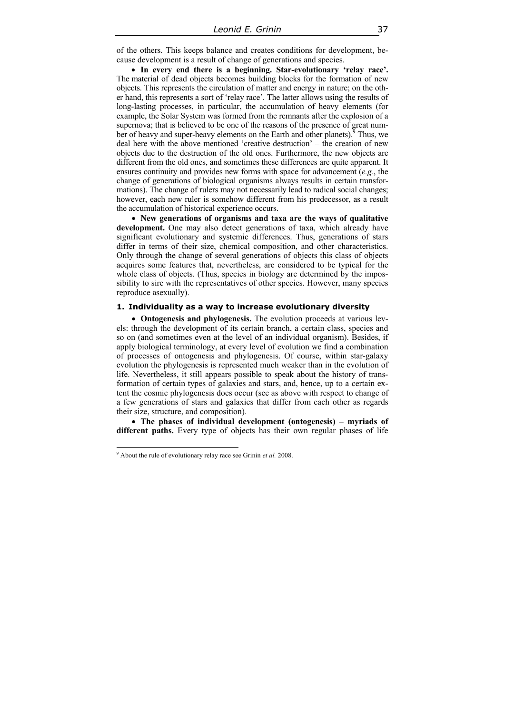of the others. This keeps balance and creates conditions for development, because development is a result of change of generations and species.

 **In every end there is a beginning. Star-evolutionary 'relay race'.** The material of dead objects becomes building blocks for the formation of new objects. This represents the circulation of matter and energy in nature; on the other hand, this represents a sort of 'relay race'. The latter allows using the results of long-lasting processes, in particular, the accumulation of heavy elements (for example, the Solar System was formed from the remnants after the explosion of a supernova; that is believed to be one of the reasons of the presence of great number of heavy and super-heavy elements on the Earth and other planets). <sup> $\frac{9}{5}$ </sup> Thus, we deal here with the above mentioned 'creative destruction' – the creation of new objects due to the destruction of the old ones. Furthermore, the new objects are different from the old ones, and sometimes these differences are quite apparent. It ensures continuity and provides new forms with space for advancement (*e.g.*, the change of generations of biological organisms always results in certain transformations). The change of rulers may not necessarily lead to radical social changes; however, each new ruler is somehow different from his predecessor, as a result the accumulation of historical experience occurs.

 **New generations of organisms and taxa are the ways of qualitative development.** One may also detect generations of taxa, which already have significant evolutionary and systemic differences. Thus, generations of stars differ in terms of their size, chemical composition, and other characteristics. Only through the change of several generations of objects this class of objects acquires some features that, nevertheless, are considered to be typical for the whole class of objects. (Thus, species in biology are determined by the impossibility to sire with the representatives of other species. However, many species reproduce asexually).

#### **1. Individuality as a way to increase evolutionary diversity**

 **Ontogenesis and phylogenesis.** The evolution proceeds at various levels: through the development of its certain branch, a certain class, species and so on (and sometimes even at the level of an individual organism). Besides, if apply biological terminology, at every level of evolution we find a combination of processes of ontogenesis and phylogenesis. Of course, within star-galaxy evolution the phylogenesis is represented much weaker than in the evolution of life. Nevertheless, it still appears possible to speak about the history of transformation of certain types of galaxies and stars, and, hence, up to a certain extent the cosmic phylogenesis does occur (see as above with respect to change of a few generations of stars and galaxies that differ from each other as regards their size, structure, and composition).

 **The phases of individual development (ontogenesis) – myriads of different paths.** Every type of objects has their own regular phases of life

 $\overline{a}$ 

<sup>9</sup> About the rule of evolutionary relay race see Grinin *et al.* 2008.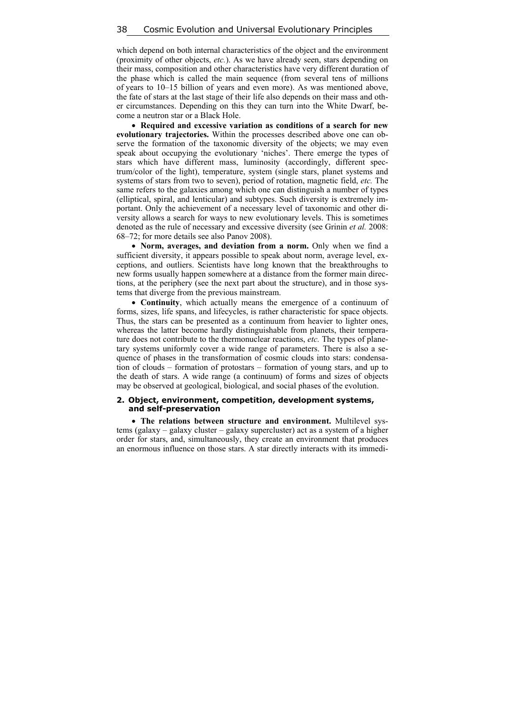which depend on both internal characteristics of the object and the environment (proximity of other objects, *etc.*). As we have already seen, stars depending on their mass, composition and other characteristics have very different duration of the phase which is called the main sequence (from several tens of millions of years to 10–15 billion of years and even more). As was mentioned above, the fate of stars at the last stage of their life also depends on their mass and other circumstances. Depending on this they can turn into the White Dwarf, become a neutron star or a Black Hole.

 **Required and excessive variation as conditions of a search for new evolutionary trajectories.** Within the processes described above one can observe the formation of the taxonomic diversity of the objects; we may even speak about occupying the evolutionary 'niches'. There emerge the types of stars which have different mass, luminosity (accordingly, different spectrum/color of the light), temperature, system (single stars, planet systems and systems of stars from two to seven), period of rotation, magnetic field, *etc.* The same refers to the galaxies among which one can distinguish a number of types (elliptical, spiral, and lenticular) and subtypes. Such diversity is extremely important. Only the achievement of a necessary level of taxonomic and other diversity allows a search for ways to new evolutionary levels. This is sometimes denoted as the rule of necessary and excessive diversity (see Grinin *et al.* 2008: 68–72; for more details see also Panov 2008).

• Norm, averages, and deviation from a norm. Only when we find a sufficient diversity, it appears possible to speak about norm, average level, exceptions, and outliers. Scientists have long known that the breakthroughs to new forms usually happen somewhere at a distance from the former main directions, at the periphery (see the next part about the structure), and in those systems that diverge from the previous mainstream.

 **Continuity**, which actually means the emergence of a continuum of forms, sizes, life spans, and lifecycles, is rather characteristic for space objects. Thus, the stars can be presented as a continuum from heavier to lighter ones, whereas the latter become hardly distinguishable from planets, their temperature does not contribute to the thermonuclear reactions, *etc.* The types of planetary systems uniformly cover a wide range of parameters. There is also a sequence of phases in the transformation of cosmic clouds into stars: condensation of clouds – formation of protostars – formation of young stars, and up to the death of stars. A wide range (a continuum) of forms and sizes of objects may be observed at geological, biological, and social phases of the evolution.

#### **2. Object, environment, competition, development systems, and self-preservation**

 **The relations between structure and environment.** Multilevel systems (galaxy – galaxy cluster – galaxy supercluster) act as a system of a higher order for stars, and, simultaneously, they create an environment that produces an enormous influence on those stars. A star directly interacts with its immedi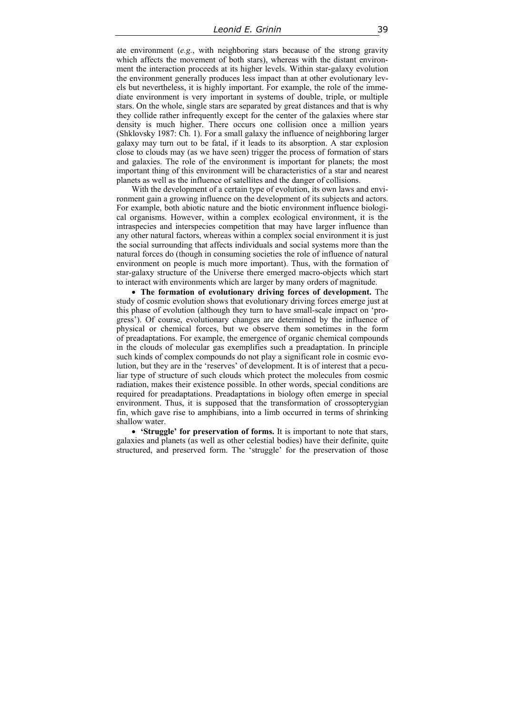ate environment (*e.g.*, with neighboring stars because of the strong gravity which affects the movement of both stars), whereas with the distant environment the interaction proceeds at its higher levels. Within star-galaxy evolution the environment generally produces less impact than at other evolutionary levels but nevertheless, it is highly important. For example, the role of the immediate environment is very important in systems of double, triple, or multiple stars. On the whole, single stars are separated by great distances and that is why they collide rather infrequently except for the center of the galaxies where star density is much higher. There occurs one collision once a million years (Shklovsky 1987: Ch. 1). For a small galaxy the influence of neighboring larger galaxy may turn out to be fatal, if it leads to its absorption. A star explosion close to clouds may (as we have seen) trigger the process of formation of stars and galaxies. The role of the environment is important for planets; the most important thing of this environment will be characteristics of a star and nearest planets as well as the influence of satellites and the danger of collisions.

With the development of a certain type of evolution, its own laws and environment gain a growing influence on the development of its subjects and actors. For example, both abiotic nature and the biotic environment influence biological organisms. However, within a complex ecological environment, it is the intraspecies and interspecies competition that may have larger influence than any other natural factors, whereas within a complex social environment it is just the social surrounding that affects individuals and social systems more than the natural forces do (though in consuming societies the role of influence of natural environment on people is much more important). Thus, with the formation of star-galaxy structure of the Universe there emerged macro-objects which start to interact with environments which are larger by many orders of magnitude.

 **The formation of evolutionary driving forces of development.** The study of cosmic evolution shows that evolutionary driving forces emerge just at this phase of evolution (although they turn to have small-scale impact on 'progress'). Of course, evolutionary changes are determined by the influence of physical or chemical forces, but we observe them sometimes in the form of preadaptations. For example, the emergence of organic chemical compounds in the clouds of molecular gas exemplifies such a preadaptation. In principle such kinds of complex compounds do not play a significant role in cosmic evolution, but they are in the 'reserves' of development. It is of interest that a peculiar type of structure of such clouds which protect the molecules from cosmic radiation, makes their existence possible. In other words, special conditions are required for preadaptations. Preadaptations in biology often emerge in special environment. Thus, it is supposed that the transformation of crossopterygian fin, which gave rise to amphibians, into a limb occurred in terms of shrinking shallow water.

 **'Struggle' for preservation of forms.** It is important to note that stars, galaxies and planets (as well as other celestial bodies) have their definite, quite structured, and preserved form. The 'struggle' for the preservation of those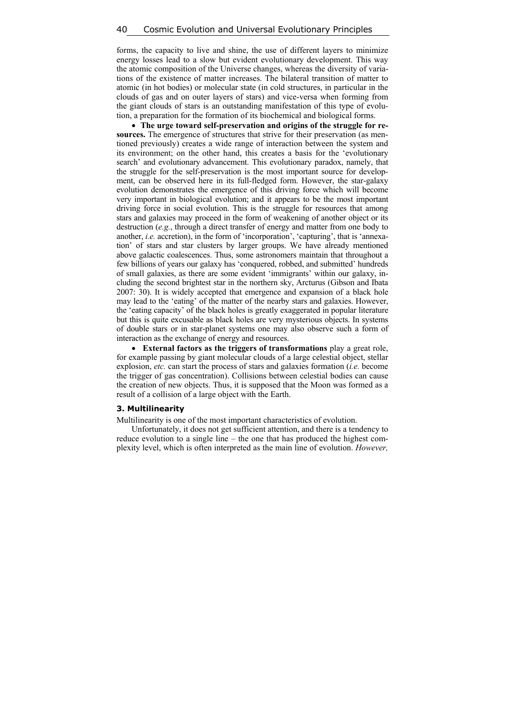forms, the capacity to live and shine, the use of different layers to minimize energy losses lead to a slow but evident evolutionary development. This way the atomic composition of the Universe changes, whereas the diversity of variations of the existence of matter increases. The bilateral transition of matter to atomic (in hot bodies) or molecular state (in cold structures, in particular in the clouds of gas and on outer layers of stars) and vice-versa when forming from the giant clouds of stars is an outstanding manifestation of this type of evolution, a preparation for the formation of its biochemical and biological forms.

 **The urge toward self-preservation and origins of the struggle for re**sources. The emergence of structures that strive for their preservation (as mentioned previously) creates a wide range of interaction between the system and its environment; on the other hand, this creates a basis for the 'evolutionary search' and evolutionary advancement. This evolutionary paradox, namely, that the struggle for the self-preservation is the most important source for development, can be observed here in its full-fledged form. However, the star-galaxy evolution demonstrates the emergence of this driving force which will become very important in biological evolution; and it appears to be the most important driving force in social evolution. This is the struggle for resources that among stars and galaxies may proceed in the form of weakening of another object or its destruction (*e.g.*, through a direct transfer of energy and matter from one body to another, *i.e.* accretion), in the form of 'incorporation', 'capturing', that is 'annexation' of stars and star clusters by larger groups. We have already mentioned above galactic coalescences. Thus, some astronomers maintain that throughout a few billions of years our galaxy has 'conquered, robbed, and submitted' hundreds of small galaxies, as there are some evident 'immigrants' within our galaxy, including the second brightest star in the northern sky, Arcturus (Gibson and Ibata 2007: 30). It is widely accepted that emergence and expansion of a black hole may lead to the 'eating' of the matter of the nearby stars and galaxies. However, the 'eating capacity' of the black holes is greatly exaggerated in popular literature but this is quite excusable as black holes are very mysterious objects. In systems of double stars or in star-planet systems one may also observe such a form of interaction as the exchange of energy and resources.

 **External factors as the triggers of transformations** play a great role, for example passing by giant molecular clouds of a large celestial object, stellar explosion, *etc.* can start the process of stars and galaxies formation (*i.e.* become the trigger of gas concentration). Collisions between celestial bodies can cause the creation of new objects. Thus, it is supposed that the Moon was formed as a result of a collision of a large object with the Earth.

#### **3. Multilinearity**

Multilinearity is one of the most important characteristics of evolution.

Unfortunately, it does not get sufficient attention, and there is a tendency to reduce evolution to a single line – the one that has produced the highest complexity level, which is often interpreted as the main line of evolution. *However,*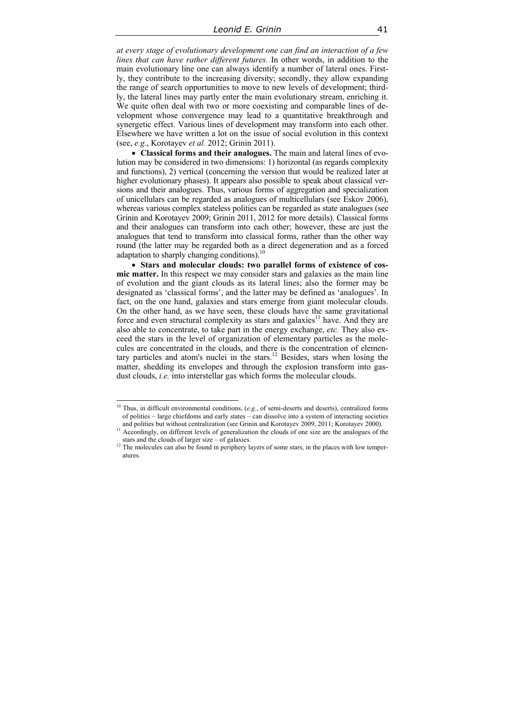*at every stage of evolutionary development one can find an interaction of a few lines that can have rather different futures.* In other words, in addition to the main evolutionary line one can always identify a number of lateral ones. Firstly, they contribute to the increasing diversity; secondly, they allow expanding the range of search opportunities to move to new levels of development; thirdly, the lateral lines may partly enter the main evolutionary stream, enriching it. We quite often deal with two or more coexisting and comparable lines of development whose convergence may lead to a quantitative breakthrough and synergetic effect. Various lines of development may transform into each other. Elsewhere we have written a lot on the issue of social evolution in this context (see, *e.g.*, Korotayev *et al.* 2012; Grinin 2011).

 **Classical forms and their analogues.** The main and lateral lines of evolution may be considered in two dimensions: 1) horizontal (as regards complexity and functions), 2) vertical (concerning the version that would be realized later at higher evolutionary phases). It appears also possible to speak about classical versions and their analogues. Thus, various forms of aggregation and specialization of unicellulars can be regarded as analogues of multicellulars (see Eskov 2006), whereas various complex stateless polities can be regarded as state analogues (see Grinin and Korotayev 2009; Grinin 2011, 2012 for more details). Classical forms and their analogues can transform into each other; however, these are just the analogues that tend to transform into classical forms, rather than the other way round (the latter may be regarded both as a direct degeneration and as a forced adaptation to sharply changing conditions).<sup>10</sup>

 **Stars and molecular clouds: two parallel forms of existence of cosmic matter.** In this respect we may consider stars and galaxies as the main line of evolution and the giant clouds as its lateral lines; also the former may be designated as 'classical forms', and the latter may be defined as 'analogues'. In fact, on the one hand, galaxies and stars emerge from giant molecular clouds. On the other hand, as we have seen, these clouds have the same gravitational force and even structural complexity as stars and galaxies<sup>11</sup> have. And they are also able to concentrate, to take part in the energy exchange, *etc.* They also exceed the stars in the level of organization of elementary particles as the molecules are concentrated in the clouds, and there is the concentration of elementary particles and atom's nuclei in the stars.<sup>12</sup> Besides, stars when losing the matter, shedding its envelopes and through the explosion transform into gasdust clouds, *i.e.* into interstellar gas which forms the molecular clouds.

 $\overline{\phantom{a}}$ 

<sup>10</sup> Thus, in difficult environmental conditions, (*e.g.*, of semi-deserts and deserts), centralized forms of polities – large chiefdoms and early states – can dissolve into a system of interacting societies

 $\frac{11}{11}$  Accordingly, on different levels of generalization the clouds of one size are the analogues of the

stars and the clouds of larger size – of galaxies.<br><sup>12</sup> The molecules can also be found in periphery layers of some stars, in the places with low temperatures.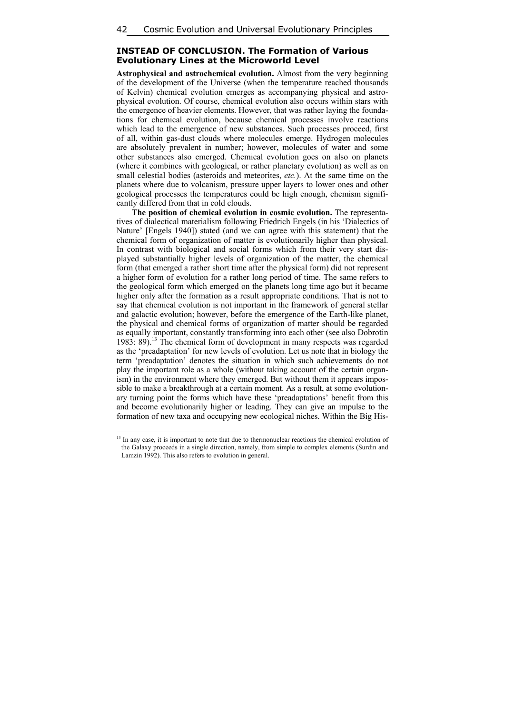# **INSTEAD OF CONCLUSION. The Formation of Various Evolutionary Lines at the Microworld Level**

**Astrophysical and astrochemical evolution.** Almost from the very beginning of the development of the Universe (when the temperature reached thousands of Kelvin) chemical evolution emerges as accompanying physical and astrophysical evolution. Of course, chemical evolution also occurs within stars with the emergence of heavier elements. However, that was rather laying the foundations for chemical evolution, because chemical processes involve reactions which lead to the emergence of new substances. Such processes proceed, first of all, within gas-dust clouds where molecules emerge. Hydrogen molecules are absolutely prevalent in number; however, molecules of water and some other substances also emerged. Chemical evolution goes on also on planets (where it combines with geological, or rather planetary evolution) as well as on small celestial bodies (asteroids and meteorites, *etc.*). At the same time on the planets where due to volcanism, pressure upper layers to lower ones and other geological processes the temperatures could be high enough, chemism significantly differed from that in cold clouds.

**The position of chemical evolution in cosmic evolution.** The representatives of dialectical materialism following Friedrich Engels (in his 'Dialectics of Nature' [Engels 1940]) stated (and we can agree with this statement) that the chemical form of organization of matter is evolutionarily higher than physical. In contrast with biological and social forms which from their very start displayed substantially higher levels of organization of the matter, the chemical form (that emerged a rather short time after the physical form) did not represent a higher form of evolution for a rather long period of time. The same refers to the geological form which emerged on the planets long time ago but it became higher only after the formation as a result appropriate conditions. That is not to say that chemical evolution is not important in the framework of general stellar and galactic evolution; however, before the emergence of the Earth-like planet, the physical and chemical forms of organization of matter should be regarded as equally important, constantly transforming into each other (see also Dobrotin 1983: 89).13 The chemical form of development in many respects was regarded as the 'preadaptation' for new levels of evolution. Let us note that in biology the term 'preadaptation' denotes the situation in which such achievements do not play the important role as a whole (without taking account of the certain organism) in the environment where they emerged. But without them it appears impossible to make a breakthrough at a certain moment. As a result, at some evolutionary turning point the forms which have these 'preadaptations' benefit from this and become evolutionarily higher or leading. They can give an impulse to the formation of new taxa and occupying new ecological niches. Within the Big His-

 $\overline{a}$ 

<sup>&</sup>lt;sup>13</sup> In any case, it is important to note that due to thermonuclear reactions the chemical evolution of the Galaxy proceeds in a single direction, namely, from simple to complex elements (Surdin and Lamzin 1992). This also refers to evolution in general.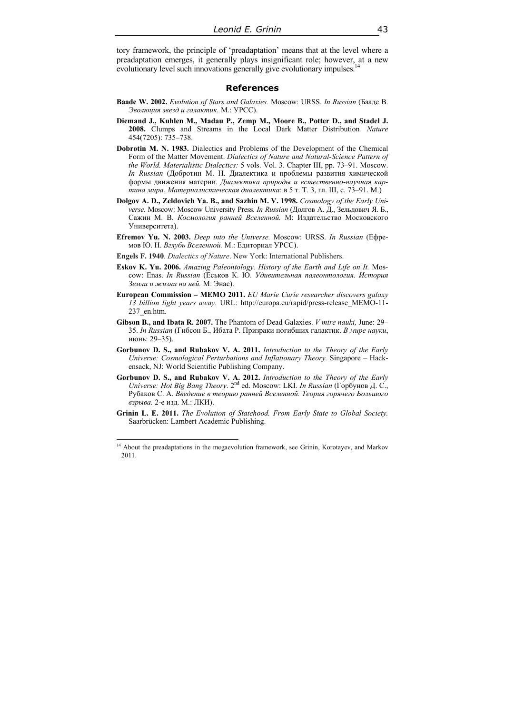tory framework, the principle of 'preadaptation' means that at the level where a preadaptation emerges, it generally plays insignificant role; however, at a new evolutionary level such innovations generally give evolutionary impulses.<sup>14</sup>

### **References**

- **Baade W. 2002.** *Evolution of Stars and Galaxies.* Moscow: URSS. *In Russian* (Бааде В. *Эволюция звезд и галактик.* М.: УРСС).
- **Diemand J., Kuhlen M., Madau P., Zemp M., Moore B., Potter D., and Stadel J. 2008.** Clumps and Streams in the Local Dark Matter Distribution*. Nature* 454(7205): 735–738.
- **Dobrotin M. N. 1983.** Dialectics and Problems of the Development of the Chemical Form of the Matter Movement. *Dialectics of Nature and Natural-Science Pattern of the World. Materialistic Dialectics:* 5 vols. Vol. 3. Chapter III, pp. 73–91. Мoscow. *In Russian* (Добротин М. Н. Диалектика и проблемы развития химической формы движения материи. *Диалектика природы и естественно-научная картина мира. Материалистическая диалектика*: в 5 т. Т. 3, гл. III, с. 73–91. М.)
- **Dolgov A. D., Zeldovich Ya. B., and Sazhin M. V. 1998.** *Cosmology of the Early Universe.* Moscow: Moscow University Press. *In Russian* (Долгов А. Д., Зельдович Я. Б., Сажин М. В. *Космология ранней Вселенной.* М: Издательство Московского Университета).
- **Efremov Yu. N. 2003.** *Deep into the Universe.* Moscow: URSS. *In Russian* (Ефремов Ю. Н. *Вглубь Вселенной.* М.: Едиториал УРСС).
- **Engels F. 1940**. *Dialectics of Nature*. New York: International Publishers.
- **Eskov K. Yu. 2006.** *Amazing Paleontology. History of the Earth and Life on It.* Moscow: Enas. *In Russian* (Еськов К. Ю. *Удивительная палеонтология. История Земли и жизни на ней.* М: Энас).
- **European Commission MEMO 2011.** *EU Marie Curie researcher discovers galaxy 13 billion light years away.* URL: http://europa.eu/rapid/press-release\_MEMO-11- 237\_en.htm.
- **Gibson B., and Ibata R. 2007.** The Phantom of Dead Galaxies. *V mire nauki,* June: 29– 35. *In Russian* (Гибсон Б., Ибата Р. Призраки погибших галактик. *В мире науки*, июнь: 29–35).
- **Gorbunov D. S., and Rubakov V. A. 2011.** *Introduction to the Theory of the Early Universe: Cosmological Perturbations and Inflationary Theory.* Singapore – Hackensack, NJ: World Scientific Publishing Company.
- **Gorbunov D. S., and Rubakov V. A. 2012.** *Introduction to the Theory of the Early Universe: Hot Big Bang Theory*. 2nd ed. Moscow: LKI. *In Russian* (Горбунов Д. С., Рубаков С. А. *Введение в теорию ранней Вселенной. Теория горячего Большого взрыва.* 2-е изд. М.: ЛКИ).
- **Grinin L. E. 2011.** *The Evolution of Statehood. From Early State to Global Society.* Saarbrücken: Lambert Academic Publishing.

 $\overline{\phantom{a}}$ 

 $14$  About the preadaptations in the megaevolution framework, see Grinin, Korotayev, and Markov 2011.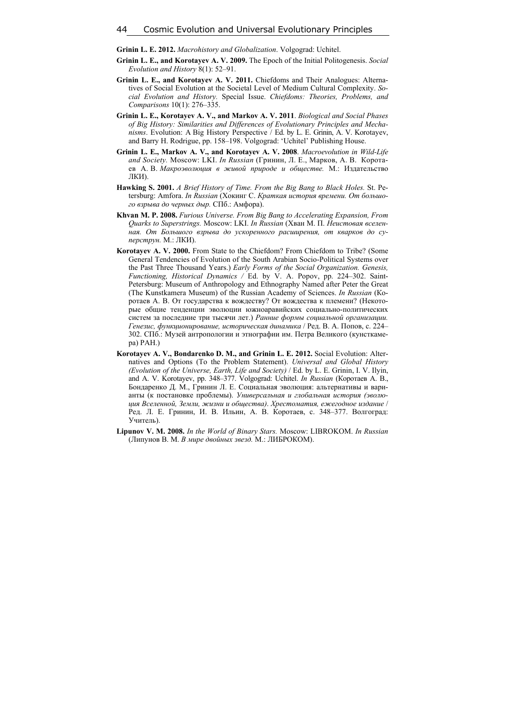**Grinin L. E. 2012.** *Macrohistory and Globalization*. Volgograd: Uchitel.

- **Grinin L. E., and Korotayev A. V. 2009.** The Epoch of the Initial Politogenesis. *Social Evolution and History* 8(1): 52–91.
- **Grinin L. E., and Korotayev A. V. 2011.** Chiefdoms and Their Analogues: Alternatives of Social Evolution at the Societal Level of Medium Cultural Complexity. *Social Evolution and History.* Special Issue. *Chiefdoms: Theories, Problems, and Comparisons* 10(1): 276–335.
- **Grinin L. E., Korotayev A. V., and Markov A. V. 2011**. *Biological and Social Phases of Big History: Similarities and Differences of Evolutionary Principles and Mechanisms*. Evolution: A Big History Perspective / Ed. by L. E. Grinin, A. V. Korotayev, and Barry H. Rodrigue, pp. 158–198. Volgograd: 'Uchitel' Publishing House.
- **Grinin L. E., Markov A. V., and Korotayev A. V. 2008**. *Macroevolution in Wild-Life and Society.* Moscow: LKI. *In Russian* (Гринин, Л. Е., Марков, А. В. Коротаев А. В. *Макроэволюция в живой природе и обществе.* М.: Издательство ЛКИ).
- **Hawking S. 2001.** *A Brief History of Time. From the Big Bang to Black Holes.* St. Petersburg: Amfora. *In Russian* (Хокинг С. *Краткая история времени. От большого взрыва до черных дыр.* СПб.: Амфора).
- **Khvan M. P. 2008.** *Furious Universe. From Big Bang to Accelerating Expansion, From Quarks to Superstrings.* Moscow: LKI. *In Russian* (Хван М. П. *Неистовая вселенная. От Большого взрыва до ускоренного расширения, от кварков до суперструн.* М.: ЛКИ).
- **Korotayev A. V. 2000.** From State to the Chiefdom? From Chiefdom to Tribe? (Some General Tendencies of Evolution of the South Arabian Socio-Political Systems over the Past Three Thousand Years.) *Early Forms of the Social Organization. Genesis, Functioning, Historical Dynamics /* Ed. by V. A. Popov, pp. 224–302. Saint-Petersburg: Museum of Anthropology and Ethnography Named after Peter the Great (The Kunstkamera Museum) of the Russian Academy of Sciences. *In Russian* (Коротаев А. В. От государства к вождеству? От вождества к племени? (Некоторые общие тенденции эволюции южноаравийских социально-политических систем за последние три тысячи лет.) *Ранние формы социальной организации. Генезис, функционирование, историческая динамика* / Ред. В. А. Попов, с. 224– 302. СПб.: Музей антропологии и этнографии им. Петра Великого (кунсткамера) РАН.)
- **Korotayev A. V., Bondarenko D. M., and Grinin L. E. 2012.** Social Evolution: Alternatives and Options (To the Problem Statement). *Universal and Global History (Evolution of the Universe, Earth, Life and Society)* / Ed. by L. E. Grinin, I. V. Ilyin, and A. V. Korotayev, pp. 348–377. Volgograd: Uchitel. *In Russian* (Коротаев А. В., Бондаренко Д. М., Гринин Л. Е. Социальная эволюция: альтернативы и варианты (к постановке проблемы). *Универсальная и глобальная история (эволюция Вселенной, Земли, жизни и общества)*. *Хрестоматия, ежегодное издание* / Ред. Л. Е. Гринин, И. В. Ильин, А. В. Коротаев, с. 348–377. Волгоград: Учитель).
- **Lipunov V. M. 2008.** *In the World of Binary Stars.* Moscow: LIBROKOM. *In Russian* (Липунов В. М. *В мире двойных звезд.* М.: ЛИБРОКОМ).